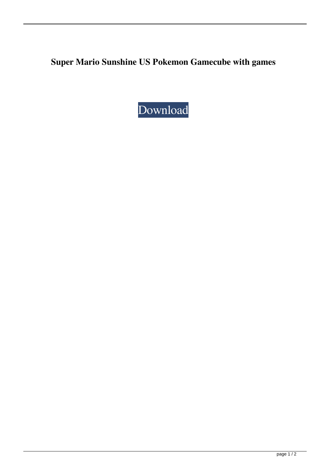**Super Mario Sunshine US Pokemon Gamecube with games**